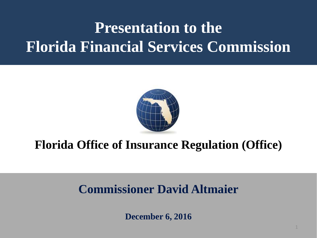# **Presentation to the Florida Financial Services Commission**



## **Florida Office of Insurance Regulation (Office)**

## **Commissioner David Altmaier**

**December 6, 2016**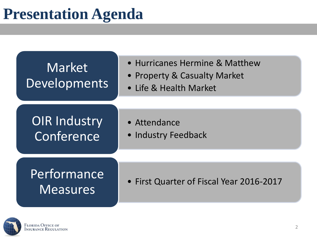## **Presentation Agenda**



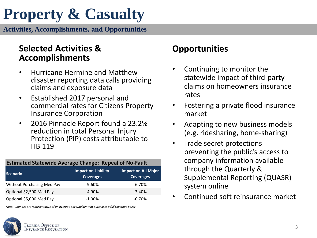# **Property & Casualty**

**Activities, Accomplishments, and Opportunities**

### **Selected Activities & Accomplishments**

- Hurricane Hermine and Matthew disaster reporting data calls providing claims and exposure data
- Established 2017 personal and commercial rates for Citizens Property Insurance Corporation
- 2016 Pinnacle Report found a 23.2% reduction in total Personal Injury Protection (PIP) costs attributable to HB 119

#### **Estimated Statewide Average Change: Repeal of No-Fault**

| <b>Scenario</b>            | <b>Impact on Liability</b><br><b>Coverages</b> | <b>Impact on All Major</b><br><b>Coverages</b> |  |  |
|----------------------------|------------------------------------------------|------------------------------------------------|--|--|
| Without Purchasing Med Pay | $-9.60%$                                       | $-6.70%$                                       |  |  |
| Optional \$2,500 Med Pay   | $-4.90\%$                                      | $-3.40%$                                       |  |  |
| Optional \$5,000 Med Pay   | $-1.00\%$                                      | $-0.70%$                                       |  |  |

*Note: Changes are representative of an average policyholder that purchases a full coverage policy*



### **Opportunities**

- Continuing to monitor the statewide impact of third-party claims on homeowners insurance rates
- Fostering a private flood insurance market
- Adapting to new business models (e.g. ridesharing, home-sharing)
- Trade secret protections preventing the public's access to company information available through the Quarterly & Supplemental Reporting (QUASR) system online
- Continued soft reinsurance market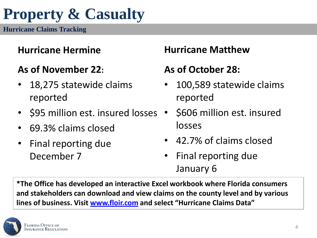## **Property & Casualty**

**Hurricane Claims Tracking**

## **Hurricane Hermine**

## **As of November 22:**

- 18,275 statewide claims reported
- \$95 million est. insured losses
- 69.3% claims closed
- Final reporting due December 7

## **Hurricane Matthew**

## **As of October 28:**

- 100,589 statewide claims reported
- \$606 million est. insured losses
- 42.7% of claims closed
- Final reporting due January 6

**\*The Office has developed an interactive Excel workbook where Florida consumers and stakeholders can download and view claims on the county level and by various lines of business. Visit [www.floir.com](http://www.floir.com/) and select "Hurricane Claims Data"** 

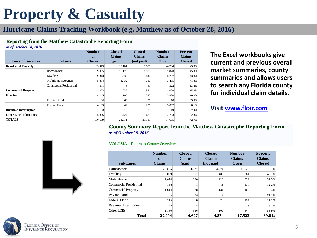# **Property & Casualty**

### **Hurricane Claims Tracking Workbook (e.g. Matthew as of October 28, 2016**)

#### **Reporting from the Matthew Catastrophe Reporting Form**

| <b>Reporting from the Matthew Catastrophe Reporting Form</b><br>as of October 28, 2016 |                        |                                      |                                          |                                              |                                        |                                           |  |  |
|----------------------------------------------------------------------------------------|------------------------|--------------------------------------|------------------------------------------|----------------------------------------------|----------------------------------------|-------------------------------------------|--|--|
| <b>Lines of Business</b>                                                               | <b>Sub-Lines</b>       | <b>Number</b><br>of<br><b>Claims</b> | <b>Closed</b><br><b>Claims</b><br>(paid) | <b>Closed</b><br><b>Claims</b><br>(not paid) | <b>Number</b><br><b>Claims</b><br>Open | Percent<br><b>Claims</b><br><b>Closed</b> |  |  |
| <b>Residential Property</b>                                                            |                        | 85,473                               | 19,101                                   | 19,588                                       | 46,784                                 | 45.3%                                     |  |  |
|                                                                                        | Homeowners             | 69.935                               | 15,125                                   | 16.990                                       | 37,820                                 | 45.9%                                     |  |  |
|                                                                                        | Dwelling               | 9,313                                | 2,236                                    | 1.840                                        | 5,237                                  | 43.8%                                     |  |  |
|                                                                                        | Mobile Homeowners      | 5,854                                | 1,732                                    | 717                                          | 3,405                                  | 41.8%                                     |  |  |
|                                                                                        | Commercial Residential | 371                                  | 8                                        | 41                                           | 322                                    | 13.2%                                     |  |  |
| <b>Commercial Property</b>                                                             |                        | 4,872                                | 222                                      | 551                                          | 4,099                                  | 15.9%                                     |  |  |
| Flooding                                                                               |                        | 4,245                                | 105                                      | 320                                          | 3,820                                  | 10.0%                                     |  |  |
|                                                                                        | Private Flood          | 106                                  | 63                                       | 25                                           | 18                                     | 83.0%                                     |  |  |
|                                                                                        | Federal Flood          | 4,139                                | 42                                       | 295                                          | 3,802                                  | 8.1%                                      |  |  |
| <b>Business Interruption</b>                                                           |                        | 163                                  | 19                                       | 25                                           | 119                                    | 27.0%                                     |  |  |
| <b>Other Lines of Business</b>                                                         |                        | 5,836                                | 2.424                                    | 629                                          | 2.783                                  | 52.3%                                     |  |  |
| <b>TOTALS</b>                                                                          |                        | 100.589                              | 21.871                                   | 21.113                                       | 57.605                                 | 42.7%                                     |  |  |

**The Excel workbooks give current and previous overall market summaries, county summaries and allows users to search any Florida county for individual claim details.** 

### **Visit [www.floir.com](http://www.floir.com/)**

**County Summary Report from the Matthew Catastrophe Reporting Form** *as of October 28, 2016*



#### VOLUSIA - Return to County Overview

| <b>VOLUSIA - Return to County Overview</b> |                                      |                                          |                                              |                                        |                                           |  |  |
|--------------------------------------------|--------------------------------------|------------------------------------------|----------------------------------------------|----------------------------------------|-------------------------------------------|--|--|
| <b>Sub-Lines</b>                           | <b>Number</b><br>of<br><b>Claims</b> | <b>Closed</b><br><b>Claims</b><br>(paid) | <b>Closed</b><br><b>Claims</b><br>(not paid) | <b>Number</b><br><b>Claims</b><br>Open | Percent<br><b>Claims</b><br><b>Closed</b> |  |  |
| <b>Homeowners</b>                          | 20,075                               | 4,577                                    | 3,876                                        | 11,622                                 | 42.1%                                     |  |  |
| Dwelling                                   | 3,099                                | 857                                      | 481                                          | 1,761                                  | 43.2%                                     |  |  |
| Mobilehome                                 | 2,674                                | 620                                      | 222                                          | 1,832                                  | 31.5%                                     |  |  |
| Commercial Residential                     | 156                                  |                                          | 18                                           | 137                                    | 12.2%                                     |  |  |
| <b>Commercial Property</b>                 | 1,614                                | 78                                       | 136                                          | 1,400                                  | 13.3%                                     |  |  |
| Private Flood                              | 36                                   | 23                                       | 10                                           | 3                                      | 91.7%                                     |  |  |
| Federal Flood                              | 215                                  | $\mathbf{0}$                             | 24                                           | 191                                    | 11.2%                                     |  |  |
| Business Interruption                      | 45                                   | 5                                        | 7                                            | 33                                     | 26.7%                                     |  |  |
| Other LOBs                                 | 1,180                                | 536                                      | 100                                          | 544                                    | 53.9%                                     |  |  |
| Total                                      | 29,094                               | 6,697                                    | 4,874                                        | 17,523                                 | 39.8%                                     |  |  |

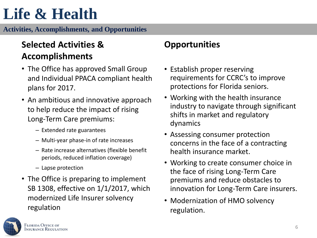# **Life & Health**

**Activities, Accomplishments, and Opportunities**

## **Selected Activities & Accomplishments**

- The Office has approved Small Group and Individual PPACA compliant health plans for 2017.
- An ambitious and innovative approach to help reduce the impact of rising Long-Term Care premiums:
	- Extended rate guarantees
	- Multi-year phase-in of rate increases
	- Rate increase alternatives (flexible benefit periods, reduced inflation coverage)
	- Lapse protection
- The Office is preparing to implement SB 1308, effective on 1/1/2017, which modernized Life Insurer solvency regulation

### **Opportunities**

- Establish proper reserving requirements for CCRC's to improve protections for Florida seniors.
- Working with the health insurance industry to navigate through significant shifts in market and regulatory dynamics
- Assessing consumer protection concerns in the face of a contracting health insurance market.
- Working to create consumer choice in the face of rising Long-Term Care premiums and reduce obstacles to innovation for Long-Term Care insurers.
- Modernization of HMO solvency regulation.

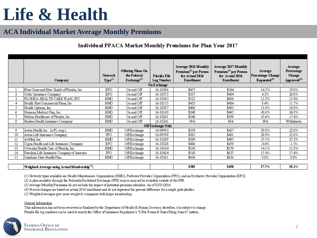# **Life & Health**

### **ACA Individual Market Average Monthly Premiums**

### **Individual PPACA Market Monthly Premiums for Plan Year 2017**

|    | <b>Company</b>                                                                                                          | <b>Network</b><br>Type <sup>(1)</sup> | Offering Plans On<br>the Federal<br>$\text{Exchange}^{(2)}$ | Florida File<br>Log Number<br>On Exchange | Average 2016 Monthly<br>Premium <sup>(3)</sup> per Person<br>for Actual 2016<br><b>Enrollment</b> | Average 2017 Monthly<br>Premium <sup>(3)</sup> per Person<br>for Actual 2016<br><b>Enrollment</b> | Average<br>Percentage Change<br>$\text{Required}^{(4)}$ | Average<br>Percentage<br>Change<br>App roved <sup>(4)</sup> |  |  |
|----|-------------------------------------------------------------------------------------------------------------------------|---------------------------------------|-------------------------------------------------------------|-------------------------------------------|---------------------------------------------------------------------------------------------------|---------------------------------------------------------------------------------------------------|---------------------------------------------------------|-------------------------------------------------------------|--|--|
|    | Blue Cross and Blue Shield of Florida, Inc.<br><b>EPO</b><br>\$457<br>\$544<br>19.0%<br>On and Off<br>16-10386<br>14.5% |                                       |                                                             |                                           |                                                                                                   |                                                                                                   |                                                         |                                                             |  |  |
| 2  | Celtic Insurance Company                                                                                                | EPO                                   | On and Off                                                  | 16-10375                                  | \$337                                                                                             | \$404                                                                                             | 4.3%                                                    | 20.0%                                                       |  |  |
| 3. | FLORIDA HEALTH CARE PLAN, INC.                                                                                          | HMO.                                  | On and Off                                                  | 16-10365                                  | \$525                                                                                             | \$606                                                                                             | 12.3%                                                   | 15.4%                                                       |  |  |
| 4  | Health First Commercial Plans, Inc.                                                                                     | HMO                                   | On and Off                                                  | 16-10155                                  | \$433                                                                                             | \$484                                                                                             | 8.4%                                                    | 11.7%                                                       |  |  |
| 5. | Health Options, Inc.                                                                                                    | HMO                                   | On and Off                                                  | 16-10387                                  | \$406                                                                                             | \$483                                                                                             | 13.8%                                                   | 18.9%                                                       |  |  |
| 6  | Humana Medical Plan, Inc.                                                                                               | HMO.                                  | On and Off                                                  | 16-10143                                  | \$340                                                                                             | \$465                                                                                             | 43.6%                                                   | 36.8%                                                       |  |  |
| 7  | Molina Healthcare of Florida, Inc.                                                                                      | HMO.                                  | On and Off                                                  | 16-10201                                  | \$340                                                                                             | \$399                                                                                             | 10.6%                                                   | 17.4%                                                       |  |  |
| 8  | Harken Health Insurance Company                                                                                         | HMO.                                  | On and Off                                                  | 16-10241                                  | <b>N/A</b>                                                                                        | <b>N/A</b>                                                                                        | N/A                                                     | Withdrawn                                                   |  |  |
|    | Off Exchange Only                                                                                                       |                                       |                                                             |                                           |                                                                                                   |                                                                                                   |                                                         |                                                             |  |  |
| 9  | Aetna Health Inc. (a FL corp.)                                                                                          | HMO                                   | Off-Exchange                                                | 16-09992                                  | \$350                                                                                             | \$427                                                                                             | 20.8%                                                   | 22.0%                                                       |  |  |
| 10 | Aetna Life Insurance Company                                                                                            | PPO                                   | Off-Exchange                                                | 16-09799                                  | \$385                                                                                             | \$481                                                                                             | 28.9%                                                   | 25.0%                                                       |  |  |
| 11 | AvMed. Inc.                                                                                                             | HMO.                                  | Off-Exchange                                                | 16-10389                                  | \$389                                                                                             | \$495                                                                                             | 27.5%                                                   | 27.3%                                                       |  |  |
| 12 | Cigna Health and Life Insurance Company                                                                                 | <b>EPO</b>                            | Off-Exchange                                                | 16-10328                                  | \$486                                                                                             | \$479                                                                                             | $-0.6%$                                                 | $-1.5%$                                                     |  |  |
| 13 | Coventry Health Care of Florida, Inc.                                                                                   | HMO                                   | Off-Exchange                                                | 16-10164                                  | \$336                                                                                             | \$376                                                                                             | 14.1%                                                   | 11.8%                                                       |  |  |
| 14 | Freedom Life Insurance Company of America                                                                               | PPO                                   | Off-Exchange                                                | 16-10424                                  | \$543                                                                                             | \$637                                                                                             | 17.4%                                                   | 17.4%                                                       |  |  |
| 15 | Sunshine State Health Plan                                                                                              | HMO.                                  | Off-Exchange                                                | 16-10361                                  | \$636                                                                                             | \$636                                                                                             | $0.0\%$                                                 | $0.0\%$                                                     |  |  |
|    |                                                                                                                         |                                       |                                                             |                                           |                                                                                                   |                                                                                                   |                                                         |                                                             |  |  |
|    | Weighted Average using Actual Membership <sup>(5)</sup> :                                                               |                                       |                                                             |                                           | \$385                                                                                             | \$458                                                                                             | 17.7%                                                   | 19.1%                                                       |  |  |

(1) Network types available are Health Maintenance Organization (HMO), Preferred Provider Organization (PPO), and an Exclusive Provider Organization (EPO).

(2) A plan available through the FederallyFacilitated Exchange (FFE) mayor may not be available outside of the FFE.

(3) Average Monthly Premiums do not include the impact of potential premium subsidies. As of 03/31/2016.

(4) Percent changes are based on actual 2016 enrollment and do not represent the percent difference for a single policyholder.

(5) Weighted averages give more weight to companies with larger membership.

#### General Information

This information has not been reviewed or finalized by the Department of Health & Human Services; therefore, it is subject to change. Florida file log numbers can be used to search the Office of Insurance Regulation's "I-File Forms & Rates Filing Search" system.

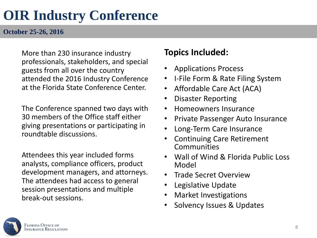## **OIR Industry Conference**

**October 25-26, 2016** 

More than 230 insurance industry professionals, stakeholders, and special guests from all over the country attended the 2016 Industry Conference at the Florida State Conference Center.

The Conference spanned two days with 30 members of the Office staff either giving presentations or participating in roundtable discussions.

Attendees this year included forms analysts, compliance officers, product development managers, and attorneys. The attendees had access to general session presentations and multiple break-out sessions.

### **Topics Included:**

- Applications Process
- I-File Form & Rate Filing System
- Affordable Care Act (ACA)
- Disaster Reporting
- Homeowners Insurance
- Private Passenger Auto Insurance
- Long-Term Care Insurance
- Continuing Care Retirement Communities
- Wall of Wind & Florida Public Loss Model
- Trade Secret Overview
- Legislative Update
- Market Investigations
- Solvency Issues & Updates